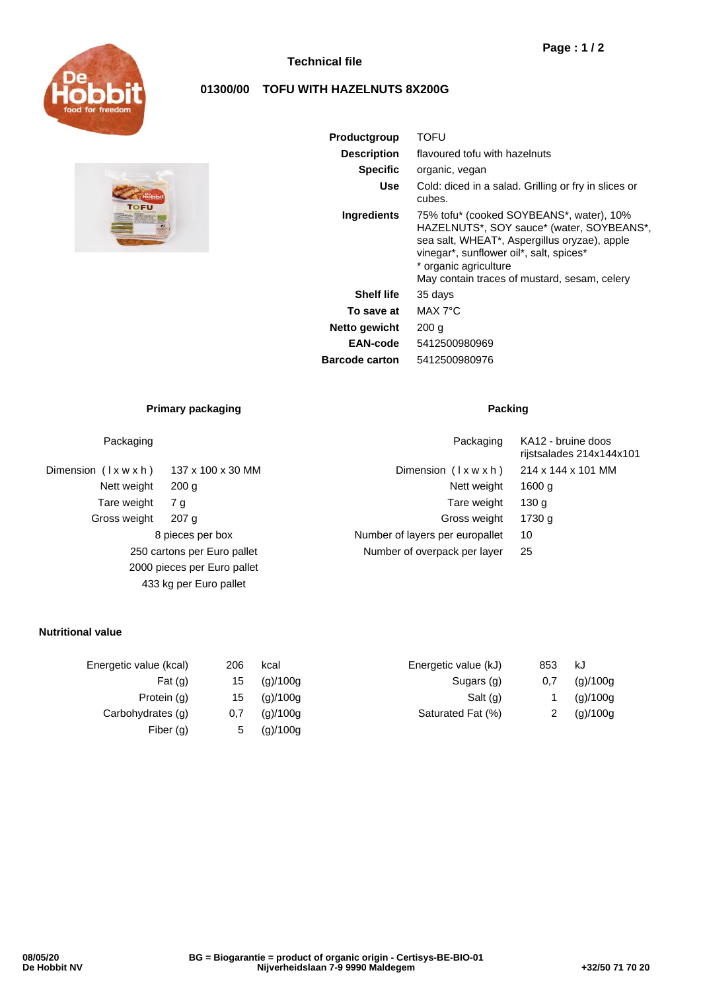

# **Technical file**

# **01300/00 TOFU WITH HAZELNUTS 8X200G**



| Productgroup          | TOFU                                                                                                                                                                                                                                                      |  |  |  |
|-----------------------|-----------------------------------------------------------------------------------------------------------------------------------------------------------------------------------------------------------------------------------------------------------|--|--|--|
| <b>Description</b>    | flavoured tofu with hazelnuts                                                                                                                                                                                                                             |  |  |  |
| <b>Specific</b>       | organic, vegan                                                                                                                                                                                                                                            |  |  |  |
| Use                   | Cold: diced in a salad. Grilling or fry in slices or<br>cubes.                                                                                                                                                                                            |  |  |  |
| Ingredients           | 75% tofu* (cooked SOYBEANS*, water), 10%<br>HAZELNUTS*, SOY sauce* (water, SOYBEANS*,<br>sea salt, WHEAT*, Aspergillus oryzae), apple<br>vinegar*, sunflower oil*, salt, spices*<br>* organic agriculture<br>May contain traces of mustard, sesam, celery |  |  |  |
| <b>Shelf life</b>     | 35 days                                                                                                                                                                                                                                                   |  |  |  |
| To save at            | MAX 7°C                                                                                                                                                                                                                                                   |  |  |  |
| Netto gewicht         | 200 g                                                                                                                                                                                                                                                     |  |  |  |
| EAN-code              | 5412500980969                                                                                                                                                                                                                                             |  |  |  |
| <b>Barcode carton</b> | 5412500980976                                                                                                                                                                                                                                             |  |  |  |

## **Primary packaging Packing Packing**

Dimension  $(l \times w \times h)$  137 x 100 x 30 MM Nett weight 200 g Tare weight 7 g Gross weight 207 g 8 pieces per box 250 cartons per Euro pallet 2000 pieces per Euro pallet 433 kg per Euro pallet

| Packaging                                       |                   | Packaging                       | KA12 - bruine doos<br>rijstsalades 214x144x101 |
|-------------------------------------------------|-------------------|---------------------------------|------------------------------------------------|
| (Ixwxh)                                         | 137 x 100 x 30 MM | Dimension $(\forall x w x h)$   | 214 x 144 x 101 MM                             |
| Nett weight                                     | 200 <sub>q</sub>  | Nett weight                     | 1600 g                                         |
| Tare weight                                     | 7 g               | Tare weight                     | 130 g                                          |
| oss weight                                      | 207 <sub>q</sub>  | Gross weight                    | 1730 g                                         |
| 8 pieces per box<br>250 cartons per Euro pallet |                   | Number of layers per europallet | 10                                             |
|                                                 |                   | Number of overpack per layer    | 25                                             |
|                                                 |                   |                                 |                                                |

## **Nutritional value**

| Energetic value (kcal) | 206 | kcal     | Energetic value (kJ) | 853 | kJ       |
|------------------------|-----|----------|----------------------|-----|----------|
| Fat $(q)$              | 15  | (g)/100g | Sugars (g)           | 0,7 | (g)/100g |
| Protein (g)            | 15  | (g)/100g | Salt (g)             |     | (g)/100g |
| Carbohydrates (g)      | 0,7 | (g)/100g | Saturated Fat (%)    |     | (g)/100g |
| Fiber $(q)$            | 5   | (g)/100g |                      |     |          |
|                        |     |          |                      |     |          |